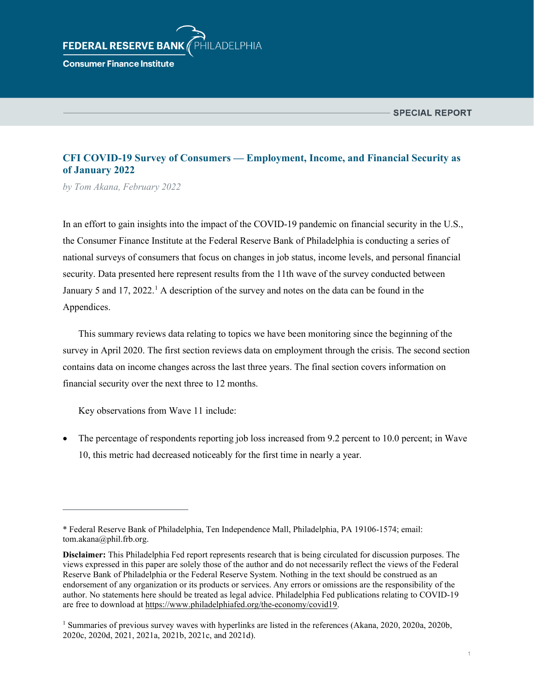# HILADELPHIA **FEDERAL RESERVE BAN**

**Consumer Finance Institute** 

# **CFI COVID-19 Survey of Consumers — Employment, Income, and Financial Security as of January 2022**

*by Tom Akana, February 2022*

In an effort to gain insights into the impact of the COVID-19 pandemic on financial security in the U.S., the Consumer Finance Institute at the Federal Reserve Bank of Philadelphia is conducting a series of national surveys of consumers that focus on changes in job status, income levels, and personal financial security. Data presented here represent results from the 11th wave of the survey conducted between January 5 and [1](#page-0-0)7, 2022.<sup>1</sup> A description of the survey and notes on the data can be found in the Appendices.

This summary reviews data relating to topics we have been monitoring since the beginning of the survey in April 2020. The first section reviews data on employment through the crisis. The second section contains data on income changes across the last three years. The final section covers information on financial security over the next three to 12 months.

Key observations from Wave 11 include:

• The percentage of respondents reporting job loss increased from 9.2 percent to 10.0 percent; in Wave 10, this metric had decreased noticeably for the first time in nearly a year.

<span id="page-0-0"></span><sup>\*</sup> Federal Reserve Bank of Philadelphia, Ten Independence Mall, Philadelphia, PA 19106-1574; email: tom.akana@phil.frb.org.

**Disclaimer:** This Philadelphia Fed report represents research that is being circulated for discussion purposes. The views expressed in this paper are solely those of the author and do not necessarily reflect the views of the Federal Reserve Bank of Philadelphia or the Federal Reserve System. Nothing in the text should be construed as an endorsement of any organization or its products or services. Any errors or omissions are the responsibility of the author. No statements here should be treated as legal advice. Philadelphia Fed publications relating to COVID-19 are free to download a[t https://www.philadelphiafed.org/the-economy/covid19.](https://www.philadelphiafed.org/the-economy/covid19)

<sup>1</sup> Summaries of previous survey waves with hyperlinks are listed in the references (Akana, 2020, 2020a, 2020b, 2020c, 2020d, 2021, 2021a, 2021b, 2021c, and 2021d).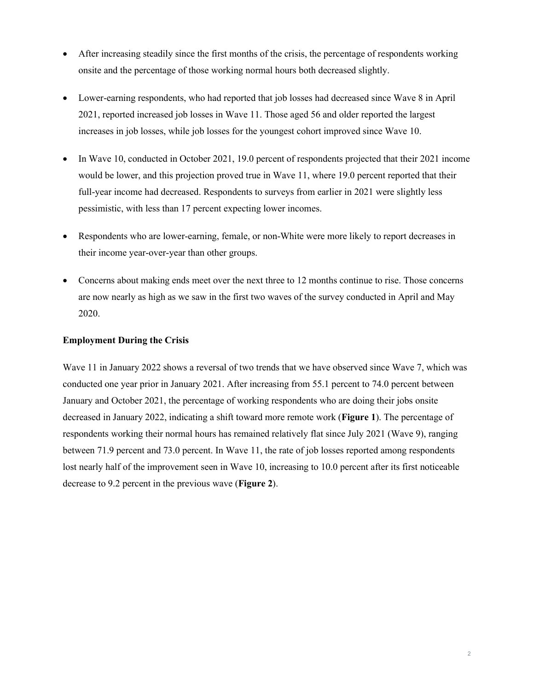- After increasing steadily since the first months of the crisis, the percentage of respondents working onsite and the percentage of those working normal hours both decreased slightly.
- Lower-earning respondents, who had reported that job losses had decreased since Wave 8 in April 2021, reported increased job losses in Wave 11. Those aged 56 and older reported the largest increases in job losses, while job losses for the youngest cohort improved since Wave 10.
- In Wave 10, conducted in October 2021, 19.0 percent of respondents projected that their 2021 income would be lower, and this projection proved true in Wave 11, where 19.0 percent reported that their full-year income had decreased. Respondents to surveys from earlier in 2021 were slightly less pessimistic, with less than 17 percent expecting lower incomes.
- Respondents who are lower-earning, female, or non-White were more likely to report decreases in their income year-over-year than other groups.
- Concerns about making ends meet over the next three to 12 months continue to rise. Those concerns are now nearly as high as we saw in the first two waves of the survey conducted in April and May 2020.

#### **Employment During the Crisis**

Wave 11 in January 2022 shows a reversal of two trends that we have observed since Wave 7, which was conducted one year prior in January 2021. After increasing from 55.1 percent to 74.0 percent between January and October 2021, the percentage of working respondents who are doing their jobs onsite decreased in January 2022, indicating a shift toward more remote work (**Figure 1**). The percentage of respondents working their normal hours has remained relatively flat since July 2021 (Wave 9), ranging between 71.9 percent and 73.0 percent. In Wave 11, the rate of job losses reported among respondents lost nearly half of the improvement seen in Wave 10, increasing to 10.0 percent after its first noticeable decrease to 9.2 percent in the previous wave (**Figure 2**).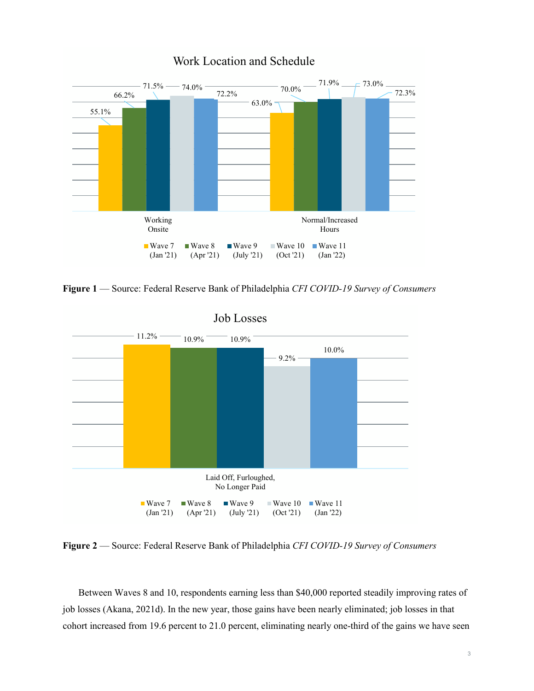

# Work Location and Schedule

**Figure 1** — Source: Federal Reserve Bank of Philadelphia *CFI COVID-19 Survey of Consumers* 



**Figure 2** — Source: Federal Reserve Bank of Philadelphia *CFI COVID-19 Survey of Consumers*

Between Waves 8 and 10, respondents earning less than \$40,000 reported steadily improving rates of job losses (Akana, 2021d). In the new year, those gains have been nearly eliminated; job losses in that cohort increased from 19.6 percent to 21.0 percent, eliminating nearly one-third of the gains we have seen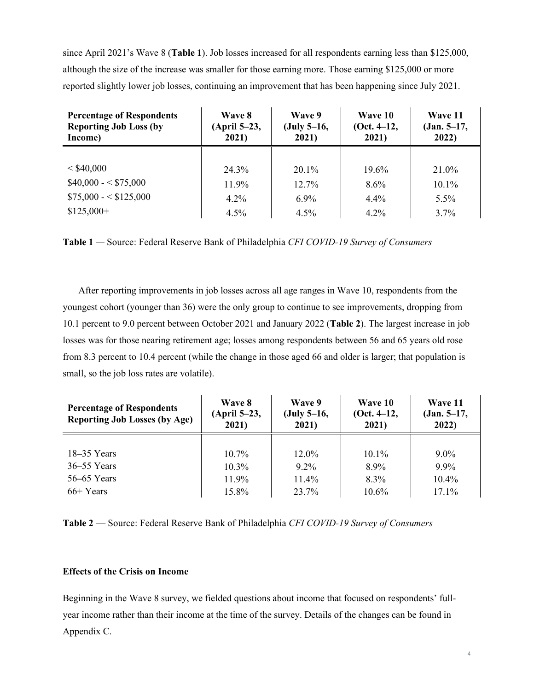since April 2021's Wave 8 (**Table 1**). Job losses increased for all respondents earning less than \$125,000, although the size of the increase was smaller for those earning more. Those earning \$125,000 or more reported slightly lower job losses, continuing an improvement that has been happening since July 2021.

| <b>Percentage of Respondents</b> | <b>Wave 8</b> | Wave 9        | Wave 10         | Wave 11       |  |  |
|----------------------------------|---------------|---------------|-----------------|---------------|--|--|
| <b>Reporting Job Loss (by</b>    | (April 5–23,  | $(July 5-16,$ | $(Oct. 4-12, )$ | $(Jan. 5-17,$ |  |  |
| Income)                          | 2021)         | 2021)         | 2021)           | 2022)         |  |  |
| $<$ \$40,000                     | 24.3%         | $20.1\%$      | 19.6%           | 21.0%         |  |  |
| $$40,000 - $75,000$              | 11.9%         | $12.7\%$      | $8.6\%$         | $10.1\%$      |  |  |
| $$75,000 - $125,000$             | $4.2\%$       | $6.9\%$       | $4.4\%$         | $5.5\%$       |  |  |
| $$125,000+$                      | $4.5\%$       | $4.5\%$       | $4.2\%$         | $3.7\%$       |  |  |

**Table 1** *—* Source: Federal Reserve Bank of Philadelphia *CFI COVID-19 Survey of Consumers* 

After reporting improvements in job losses across all age ranges in Wave 10, respondents from the youngest cohort (younger than 36) were the only group to continue to see improvements, dropping from 10.1 percent to 9.0 percent between October 2021 and January 2022 (**Table 2**). The largest increase in job losses was for those nearing retirement age; losses among respondents between 56 and 65 years old rose from 8.3 percent to 10.4 percent (while the change in those aged 66 and older is larger; that population is small, so the job loss rates are volatile).

| <b>Percentage of Respondents</b><br><b>Reporting Job Losses (by Age)</b> | Wave 8<br>(April 5–23,<br>2021) | Wave 9<br>$(July 5-16,$<br>2021) | Wave 10<br>$(Oct. 4-12, )$<br>2021) | Wave 11<br>$(Jan. 5-17,$<br>2022) |  |  |
|--------------------------------------------------------------------------|---------------------------------|----------------------------------|-------------------------------------|-----------------------------------|--|--|
| $18-35$ Years                                                            | $10.7\%$                        | $12.0\%$                         | $10.1\%$                            | $9.0\%$                           |  |  |
| $36 - 55$ Years                                                          | $10.3\%$                        | $9.2\%$                          | 8.9%                                | $9.9\%$                           |  |  |
| $56-65$ Years                                                            | 11.9%                           | 11.4%                            | $8.3\%$                             | 10.4%                             |  |  |
| $66+Years$                                                               | 15.8%                           | 23.7%                            | 10.6%                               | $17.1\%$                          |  |  |

**Table 2** — Source: Federal Reserve Bank of Philadelphia *CFI COVID-19 Survey of Consumers*

## **Effects of the Crisis on Income**

Beginning in the Wave 8 survey, we fielded questions about income that focused on respondents' fullyear income rather than their income at the time of the survey. Details of the changes can be found in Appendix C.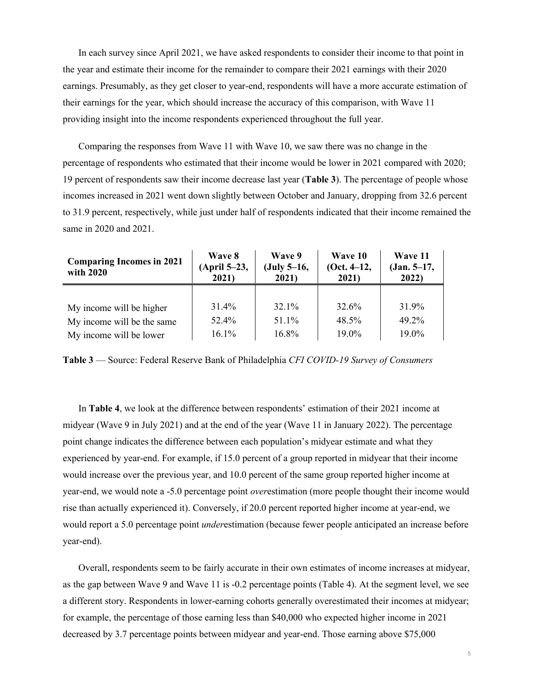In each survey since April 2021, we have asked respondents to consider their income to that point in the year and estimate their income for the remainder to compare their 2021 earnings with their 2020 earnings. Presumably, as they get closer to year-end, respondents will have a more accurate estimation of their earnings for the year, which should increase the accuracy of this comparison, with Wave 11 providing insight into the income respondents experienced throughout the full year.

Comparing the responses from Wave 11 with Wave 10, we saw there was no change in the percentage of respondents who estimated that their income would be lower in 2021 compared with 2020; 19 percent of respondents saw their income decrease last year (**Table 3**). The percentage of people whose incomes increased in 2021 went down slightly between October and January, dropping from 32.6 percent to 31.9 percent, respectively, while just under half of respondents indicated that their income remained the same in 2020 and 2021.

| <b>Comparing Incomes in 2021</b><br>with 2020 | Wave 8<br>(April 5–23,<br>2021) | Wave 9<br>$(July 5-16,$<br>2021) | Wave 10<br>$(Oct. 4-12, )$<br>2021) | Wave 11<br>$(Jan. 5-17,$<br>2022) |  |
|-----------------------------------------------|---------------------------------|----------------------------------|-------------------------------------|-----------------------------------|--|
|                                               |                                 |                                  |                                     |                                   |  |
| My income will be higher                      | 31.4%                           | 32.1%                            | 32.6%                               | 31.9%                             |  |
| My income will be the same                    | 52.4%                           | 51.1%                            | 48.5%                               | 49.2%                             |  |
| My income will be lower                       | 16.1%                           | 16.8%                            | 19.0%                               | $19.0\%$                          |  |

**Table 3** — Source: Federal Reserve Bank of Philadelphia *CFI COVID-19 Survey of Consumers* 

In **Table 4**, we look at the difference between respondents' estimation of their 2021 income at midyear (Wave 9 in July 2021) and at the end of the year (Wave 11 in January 2022). The percentage point change indicates the difference between each population's midyear estimate and what they experienced by year-end. For example, if 15.0 percent of a group reported in midyear that their income would increase over the previous year, and 10.0 percent of the same group reported higher income at year-end, we would note a -5.0 percentage point *over*estimation (more people thought their income would rise than actually experienced it). Conversely, if 20.0 percent reported higher income at year-end, we would report a 5.0 percentage point *under*estimation (because fewer people anticipated an increase before year-end).

Overall, respondents seem to be fairly accurate in their own estimates of income increases at midyear, as the gap between Wave 9 and Wave 11 is -0.2 percentage points (Table 4). At the segment level, we see a different story. Respondents in lower-earning cohorts generally overestimated their incomes at midyear; for example, the percentage of those earning less than \$40,000 who expected higher income in 2021 decreased by 3.7 percentage points between midyear and year-end. Those earning above \$75,000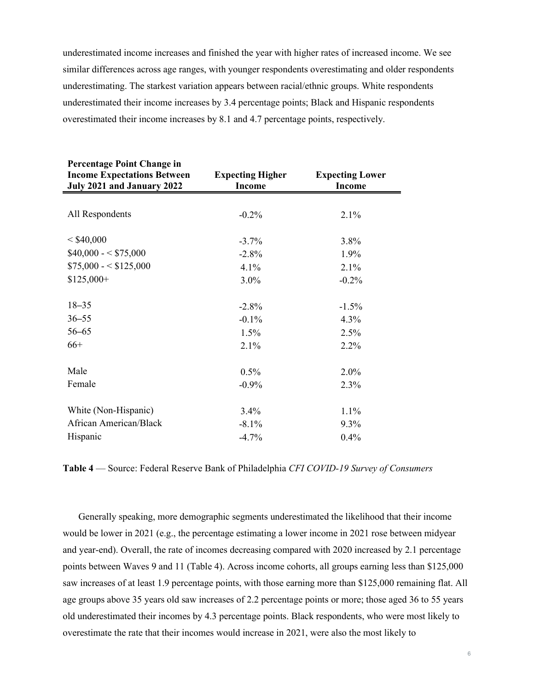underestimated income increases and finished the year with higher rates of increased income. We see similar differences across age ranges, with younger respondents overestimating and older respondents underestimating. The starkest variation appears between racial/ethnic groups. White respondents underestimated their income increases by 3.4 percentage points; Black and Hispanic respondents overestimated their income increases by 8.1 and 4.7 percentage points, respectively.

| <b>Percentage Point Change in</b>  |                         |                        |
|------------------------------------|-------------------------|------------------------|
| <b>Income Expectations Between</b> | <b>Expecting Higher</b> | <b>Expecting Lower</b> |
| July 2021 and January 2022         | <b>Income</b>           | <b>Income</b>          |
|                                    |                         |                        |
| All Respondents                    | $-0.2%$                 | 2.1%                   |
| < \$40,000                         | $-3.7%$                 | 3.8%                   |
| $$40,000 - $75,000$                | $-2.8%$                 | 1.9%                   |
| $$75,000 - $125,000$               | 4.1%                    | 2.1%                   |
| $$125,000+$                        | $3.0\%$                 | $-0.2%$                |
|                                    |                         |                        |
| $18 - 35$                          | $-2.8%$                 | $-1.5%$                |
| $36 - 55$                          | $-0.1%$                 | 4.3%                   |
| $56 - 65$                          | 1.5%                    | 2.5%                   |
| $66+$                              | 2.1%                    | 2.2%                   |
|                                    |                         |                        |
| Male                               | 0.5%                    | 2.0%                   |
| Female                             | $-0.9\%$                | 2.3%                   |
|                                    |                         |                        |
| White (Non-Hispanic)               | 3.4%                    | 1.1%                   |
| African American/Black             | $-8.1\%$                | 9.3%                   |
| Hispanic                           | $-4.7%$                 | 0.4%                   |

**Table 4** — Source: Federal Reserve Bank of Philadelphia *CFI COVID-19 Survey of Consumers*

Generally speaking, more demographic segments underestimated the likelihood that their income would be lower in 2021 (e.g., the percentage estimating a lower income in 2021 rose between midyear and year-end). Overall, the rate of incomes decreasing compared with 2020 increased by 2.1 percentage points between Waves 9 and 11 (Table 4). Across income cohorts, all groups earning less than \$125,000 saw increases of at least 1.9 percentage points, with those earning more than \$125,000 remaining flat. All age groups above 35 years old saw increases of 2.2 percentage points or more; those aged 36 to 55 years old underestimated their incomes by 4.3 percentage points. Black respondents, who were most likely to overestimate the rate that their incomes would increase in 2021, were also the most likely to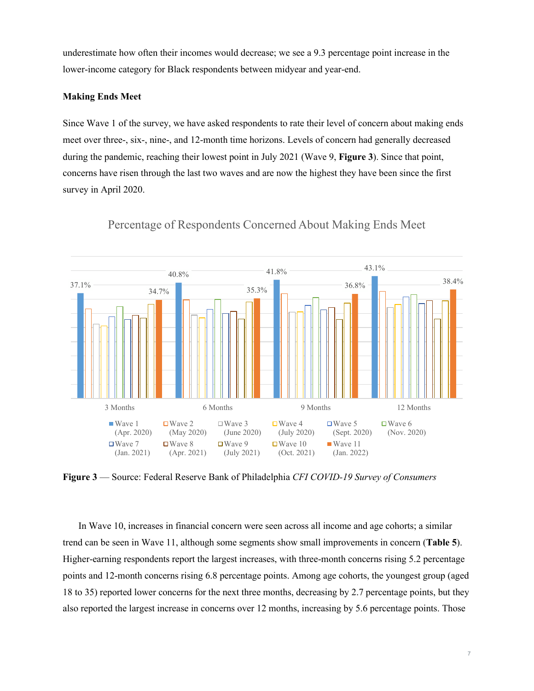underestimate how often their incomes would decrease; we see a 9.3 percentage point increase in the lower-income category for Black respondents between midyear and year-end.

#### **Making Ends Meet**

Since Wave 1 of the survey, we have asked respondents to rate their level of concern about making ends meet over three-, six-, nine-, and 12-month time horizons. Levels of concern had generally decreased during the pandemic, reaching their lowest point in July 2021 (Wave 9, **Figure 3**). Since that point, concerns have risen through the last two waves and are now the highest they have been since the first survey in April 2020.



Percentage of Respondents Concerned About Making Ends Meet

**Figure 3** — Source: Federal Reserve Bank of Philadelphia *CFI COVID-19 Survey of Consumers*

In Wave 10, increases in financial concern were seen across all income and age cohorts; a similar trend can be seen in Wave 11, although some segments show small improvements in concern (**Table 5**). Higher-earning respondents report the largest increases, with three-month concerns rising 5.2 percentage points and 12-month concerns rising 6.8 percentage points. Among age cohorts, the youngest group (aged 18 to 35) reported lower concerns for the next three months, decreasing by 2.7 percentage points, but they also reported the largest increase in concerns over 12 months, increasing by 5.6 percentage points. Those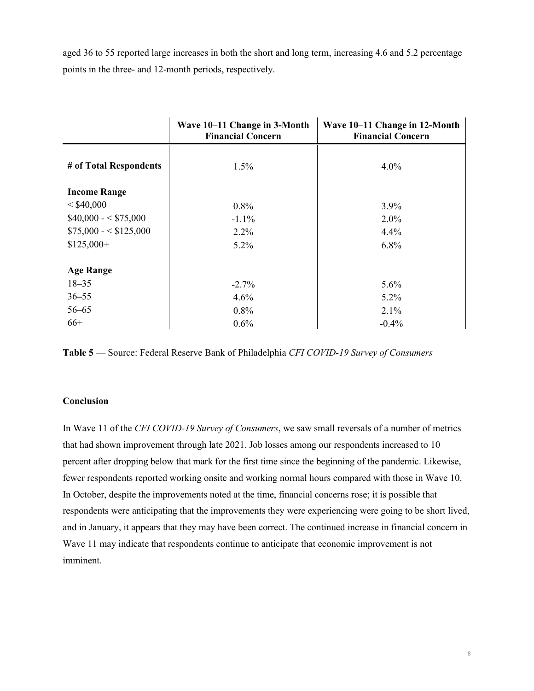aged 36 to 55 reported large increases in both the short and long term, increasing 4.6 and 5.2 percentage points in the three- and 12-month periods, respectively.

|                        | Wave 10-11 Change in 3-Month<br><b>Financial Concern</b> | Wave 10–11 Change in 12-Month<br><b>Financial Concern</b> |
|------------------------|----------------------------------------------------------|-----------------------------------------------------------|
| # of Total Respondents | $1.5\%$                                                  | 4.0%                                                      |
| <b>Income Range</b>    |                                                          |                                                           |
| < \$40,000             | 0.8%                                                     | $3.9\%$                                                   |
| $$40,000 - $75,000$    | $-1.1%$                                                  | $2.0\%$                                                   |
| $$75,000 - $125,000$   | 2.2%                                                     | 4.4%                                                      |
| $$125,000+$            | $5.2\%$                                                  | 6.8%                                                      |
| <b>Age Range</b>       |                                                          |                                                           |
| $18 - 35$              | $-2.7\%$                                                 | $5.6\%$                                                   |
| $36 - 55$              | 4.6%                                                     | 5.2%                                                      |
| $56 - 65$              | 0.8%                                                     | 2.1%                                                      |
| $66+$                  | 0.6%                                                     | $-0.4%$                                                   |

**Table 5** — Source: Federal Reserve Bank of Philadelphia *CFI COVID-19 Survey of Consumers* 

### **Conclusion**

In Wave 11 of the *CFI COVID-19 Survey of Consumers*, we saw small reversals of a number of metrics that had shown improvement through late 2021. Job losses among our respondents increased to 10 percent after dropping below that mark for the first time since the beginning of the pandemic. Likewise, fewer respondents reported working onsite and working normal hours compared with those in Wave 10. In October, despite the improvements noted at the time, financial concerns rose; it is possible that respondents were anticipating that the improvements they were experiencing were going to be short lived, and in January, it appears that they may have been correct. The continued increase in financial concern in Wave 11 may indicate that respondents continue to anticipate that economic improvement is not imminent.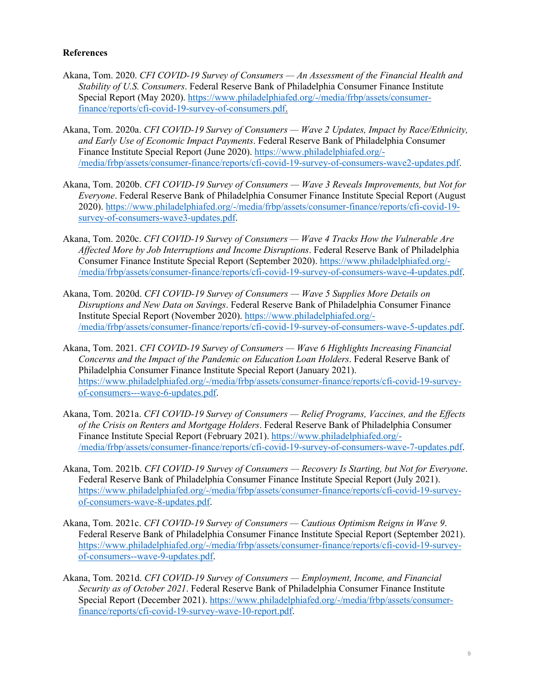## **References**

- Akana, Tom. 2020. *CFI COVID-19 Survey of Consumers An Assessment of the Financial Health and Stability of U.S. Consumers*. Federal Reserve Bank of Philadelphia Consumer Finance Institute Special Report (May 2020). [https://www.philadelphiafed.org/-/media/frbp/assets/consumer](https://www.philadelphiafed.org/-/media/frbp/assets/consumer-finance/reports/cfi-covid-19-survey-of-consumers.pdf)[finance/reports/cfi-covid-19-survey-of-consumers.pdf.](https://www.philadelphiafed.org/-/media/frbp/assets/consumer-finance/reports/cfi-covid-19-survey-of-consumers.pdf)
- Akana, Tom. 2020a. *CFI COVID-19 Survey of Consumers Wave 2 Updates, Impact by Race/Ethnicity, and Early Use of Economic Impact Payments*. Federal Reserve Bank of Philadelphia Consumer Finance Institute Special Report (June 2020). [https://www.philadelphiafed.org/-](https://www.philadelphiafed.org/-/media/frbp/assets/consumer-finance/reports/cfi-covid-19-survey-of-consumers-wave2-updates.pdf) [/media/frbp/assets/consumer-finance/reports/cfi-covid-19-survey-of-consumers-wave2-updates.pdf.](https://www.philadelphiafed.org/-/media/frbp/assets/consumer-finance/reports/cfi-covid-19-survey-of-consumers-wave2-updates.pdf)
- Akana, Tom. 2020b. *CFI COVID-19 Survey of Consumers Wave 3 Reveals Improvements, but Not for Everyone*. Federal Reserve Bank of Philadelphia Consumer Finance Institute Special Report (August 2020). [https://www.philadelphiafed.org/-/media/frbp/assets/consumer-finance/reports/cfi-covid-19](https://www.philadelphiafed.org/-/media/frbp/assets/consumer-finance/reports/cfi-covid-19-survey-of-consumers-wave3-updates.pdf) [survey-of-consumers-wave3-updates.pdf.](https://www.philadelphiafed.org/-/media/frbp/assets/consumer-finance/reports/cfi-covid-19-survey-of-consumers-wave3-updates.pdf)
- Akana, Tom. 2020c. *CFI COVID-19 Survey of Consumers Wave 4 Tracks How the Vulnerable Are Affected More by Job Interruptions and Income Disruptions*. Federal Reserve Bank of Philadelphia Consumer Finance Institute Special Report (September 2020). [https://www.philadelphiafed.org/-](https://www.philadelphiafed.org/-/media/frbp/assets/consumer-finance/reports/cfi-covid-19-survey-of-consumers-wave-4-updates.pdf) [/media/frbp/assets/consumer-finance/reports/cfi-covid-19-survey-of-consumers-wave-4-updates.pdf.](https://www.philadelphiafed.org/-/media/frbp/assets/consumer-finance/reports/cfi-covid-19-survey-of-consumers-wave-4-updates.pdf)
- Akana, Tom. 2020d. *CFI COVID-19 Survey of Consumers Wave 5 Supplies More Details on Disruptions and New Data on Savings*. Federal Reserve Bank of Philadelphia Consumer Finance Institute Special Report (November 2020). [https://www.philadelphiafed.org/-](https://www.philadelphiafed.org/-/media/frbp/assets/consumer-finance/reports/cfi-covid-19-survey-of-consumers-wave-5-updates.pdf) [/media/frbp/assets/consumer-finance/reports/cfi-covid-19-survey-of-consumers-wave-5-updates.pdf.](https://www.philadelphiafed.org/-/media/frbp/assets/consumer-finance/reports/cfi-covid-19-survey-of-consumers-wave-5-updates.pdf)
- Akana, Tom. 2021. *CFI COVID-19 Survey of Consumers Wave 6 Highlights Increasing Financial Concerns and the Impact of the Pandemic on Education Loan Holders*. Federal Reserve Bank of Philadelphia Consumer Finance Institute Special Report (January 2021). [https://www.philadelphiafed.org/-/media/frbp/assets/consumer-finance/reports/cfi-covid-19-survey](https://www.philadelphiafed.org/-/media/frbp/assets/consumer-finance/reports/cfi-covid-19-survey-of-consumers---wave-6-updates.pdf)[of-consumers---wave-6-updates.pdf.](https://www.philadelphiafed.org/-/media/frbp/assets/consumer-finance/reports/cfi-covid-19-survey-of-consumers---wave-6-updates.pdf)
- Akana, Tom. 2021a. *CFI COVID-19 Survey of Consumers Relief Programs, Vaccines, and the Effects of the Crisis on Renters and Mortgage Holders*. Federal Reserve Bank of Philadelphia Consumer Finance Institute Special Report (February 2021). [https://www.philadelphiafed.org/-](https://www.philadelphiafed.org/-/media/frbp/assets/consumer-finance/reports/cfi-covid-19-survey-of-consumers-wave-7-updates.pdf) [/media/frbp/assets/consumer-finance/reports/cfi-covid-19-survey-of-consumers-wave-7-updates.pdf.](https://www.philadelphiafed.org/-/media/frbp/assets/consumer-finance/reports/cfi-covid-19-survey-of-consumers-wave-7-updates.pdf)
- Akana, Tom. 2021b. *CFI COVID-19 Survey of Consumers Recovery Is Starting, but Not for Everyone*. Federal Reserve Bank of Philadelphia Consumer Finance Institute Special Report (July 2021). [https://www.philadelphiafed.org/-/media/frbp/assets/consumer-finance/reports/cfi-covid-19-survey](https://www.philadelphiafed.org/-/media/frbp/assets/consumer-finance/reports/cfi-covid-19-survey-of-consumers-wave-8-updates.pdf)[of-consumers-wave-8-updates.pdf.](https://www.philadelphiafed.org/-/media/frbp/assets/consumer-finance/reports/cfi-covid-19-survey-of-consumers-wave-8-updates.pdf)
- Akana, Tom. 2021c. *CFI COVID-19 Survey of Consumers Cautious Optimism Reigns in Wave 9*. Federal Reserve Bank of Philadelphia Consumer Finance Institute Special Report (September 2021). [https://www.philadelphiafed.org/-/media/frbp/assets/consumer-finance/reports/cfi-covid-19-survey](https://www.philadelphiafed.org/-/media/frbp/assets/consumer-finance/reports/cfi-covid-19-survey-of-consumers--wave-9-updates.pdf)[of-consumers--wave-9-updates.pdf.](https://www.philadelphiafed.org/-/media/frbp/assets/consumer-finance/reports/cfi-covid-19-survey-of-consumers--wave-9-updates.pdf)
- Akana, Tom. 2021d. *CFI COVID-19 Survey of Consumers Employment, Income, and Financial Security as of October 2021*. Federal Reserve Bank of Philadelphia Consumer Finance Institute Special Report (December 2021). [https://www.philadelphiafed.org/-/media/frbp/assets/consumer](https://www.philadelphiafed.org/-/media/frbp/assets/consumer-finance/reports/cfi-covid-19-survey-wave-10-report.pdf)[finance/reports/cfi-covid-19-survey-wave-10-report.pdf.](https://www.philadelphiafed.org/-/media/frbp/assets/consumer-finance/reports/cfi-covid-19-survey-wave-10-report.pdf)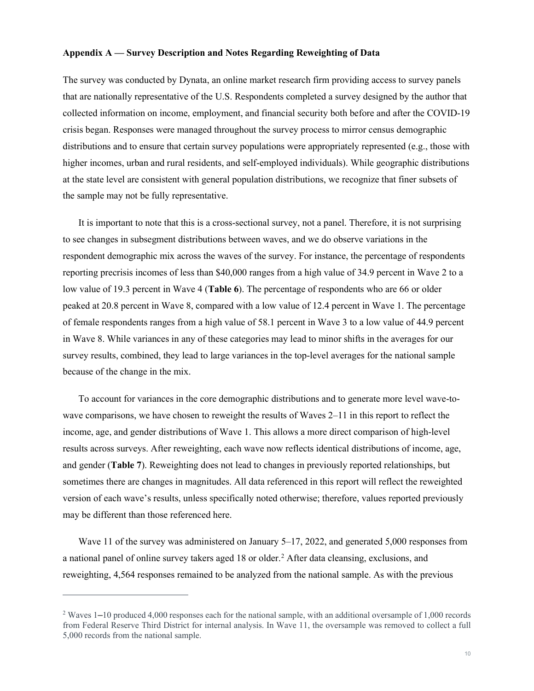#### **Appendix A — Survey Description and Notes Regarding Reweighting of Data**

The survey was conducted by Dynata, an online market research firm providing access to survey panels that are nationally representative of the U.S. Respondents completed a survey designed by the author that collected information on income, employment, and financial security both before and after the COVID-19 crisis began. Responses were managed throughout the survey process to mirror census demographic distributions and to ensure that certain survey populations were appropriately represented (e.g., those with higher incomes, urban and rural residents, and self-employed individuals). While geographic distributions at the state level are consistent with general population distributions, we recognize that finer subsets of the sample may not be fully representative.

It is important to note that this is a cross-sectional survey, not a panel. Therefore, it is not surprising to see changes in subsegment distributions between waves, and we do observe variations in the respondent demographic mix across the waves of the survey. For instance, the percentage of respondents reporting precrisis incomes of less than \$40,000 ranges from a high value of 34.9 percent in Wave 2 to a low value of 19.3 percent in Wave 4 (**Table 6**). The percentage of respondents who are 66 or older peaked at 20.8 percent in Wave 8, compared with a low value of 12.4 percent in Wave 1. The percentage of female respondents ranges from a high value of 58.1 percent in Wave 3 to a low value of 44.9 percent in Wave 8. While variances in any of these categories may lead to minor shifts in the averages for our survey results, combined, they lead to large variances in the top-level averages for the national sample because of the change in the mix.

To account for variances in the core demographic distributions and to generate more level wave-towave comparisons, we have chosen to reweight the results of Waves 2–11 in this report to reflect the income, age, and gender distributions of Wave 1. This allows a more direct comparison of high-level results across surveys. After reweighting, each wave now reflects identical distributions of income, age, and gender (**Table 7**). Reweighting does not lead to changes in previously reported relationships, but sometimes there are changes in magnitudes. All data referenced in this report will reflect the reweighted version of each wave's results, unless specifically noted otherwise; therefore, values reported previously may be different than those referenced here.

Wave 11 of the survey was administered on January 5–17, 2022, and generated 5,000 responses from a national panel of online survey takers aged 18 or older.[2](#page-9-0) After data cleansing, exclusions, and reweighting, 4,564 responses remained to be analyzed from the national sample. As with the previous

<span id="page-9-0"></span><sup>&</sup>lt;sup>2</sup> Waves 1–10 produced 4,000 responses each for the national sample, with an additional oversample of 1,000 records from Federal Reserve Third District for internal analysis. In Wave 11, the oversample was removed to collect a full 5,000 records from the national sample.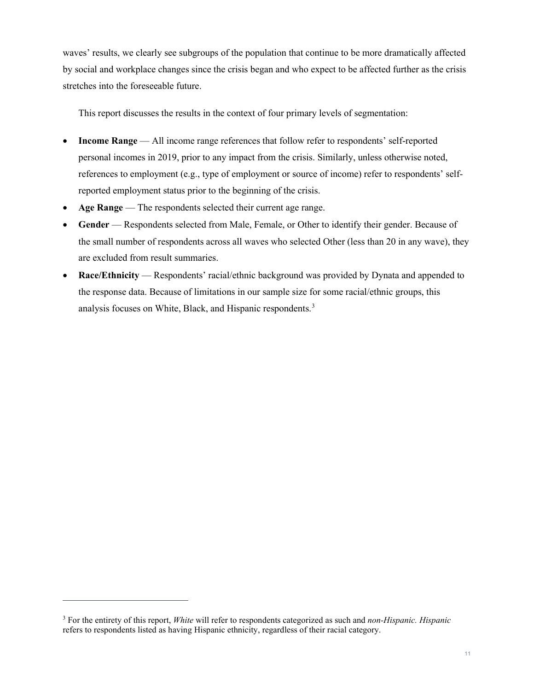waves' results, we clearly see subgroups of the population that continue to be more dramatically affected by social and workplace changes since the crisis began and who expect to be affected further as the crisis stretches into the foreseeable future.

This report discusses the results in the context of four primary levels of segmentation:

- **Income Range**  All income range references that follow refer to respondents' self-reported personal incomes in 2019, prior to any impact from the crisis. Similarly, unless otherwise noted, references to employment (e.g., type of employment or source of income) refer to respondents' selfreported employment status prior to the beginning of the crisis.
- Age Range The respondents selected their current age range.
- **Gender** Respondents selected from Male, Female, or Other to identify their gender. Because of the small number of respondents across all waves who selected Other (less than 20 in any wave), they are excluded from result summaries.
- **Race/Ethnicity** Respondents' racial/ethnic background was provided by Dynata and appended to the response data. Because of limitations in our sample size for some racial/ethnic groups, this analysis focuses on White, Black, and Hispanic respondents.[3](#page-10-0)

<span id="page-10-0"></span><sup>3</sup> For the entirety of this report, *White* will refer to respondents categorized as such and *non-Hispanic. Hispanic* refers to respondents listed as having Hispanic ethnicity, regardless of their racial category.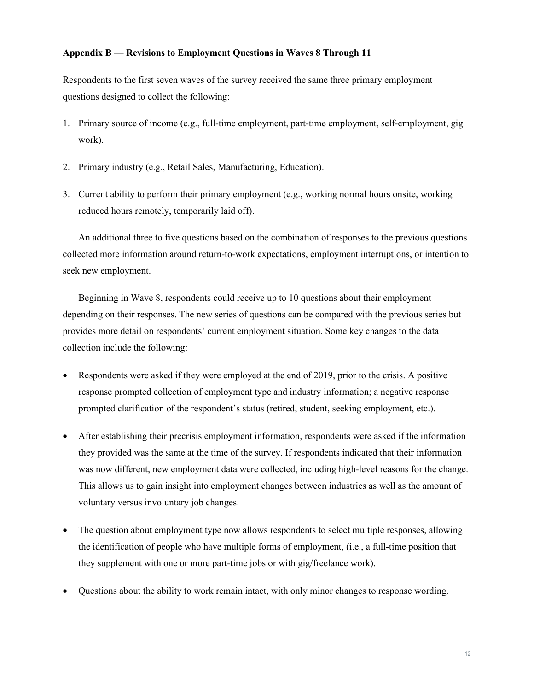## **Appendix B** — **Revisions to Employment Questions in Waves 8 Through 11**

Respondents to the first seven waves of the survey received the same three primary employment questions designed to collect the following:

- 1. Primary source of income (e.g., full-time employment, part-time employment, self-employment, gig work).
- 2. Primary industry (e.g., Retail Sales, Manufacturing, Education).
- 3. Current ability to perform their primary employment (e.g., working normal hours onsite, working reduced hours remotely, temporarily laid off).

An additional three to five questions based on the combination of responses to the previous questions collected more information around return-to-work expectations, employment interruptions, or intention to seek new employment.

Beginning in Wave 8, respondents could receive up to 10 questions about their employment depending on their responses. The new series of questions can be compared with the previous series but provides more detail on respondents' current employment situation. Some key changes to the data collection include the following:

- Respondents were asked if they were employed at the end of 2019, prior to the crisis. A positive response prompted collection of employment type and industry information; a negative response prompted clarification of the respondent's status (retired, student, seeking employment, etc.).
- After establishing their precrisis employment information, respondents were asked if the information they provided was the same at the time of the survey. If respondents indicated that their information was now different, new employment data were collected, including high-level reasons for the change. This allows us to gain insight into employment changes between industries as well as the amount of voluntary versus involuntary job changes.
- The question about employment type now allows respondents to select multiple responses, allowing the identification of people who have multiple forms of employment, (i.e., a full-time position that they supplement with one or more part-time jobs or with gig/freelance work).
- Questions about the ability to work remain intact, with only minor changes to response wording.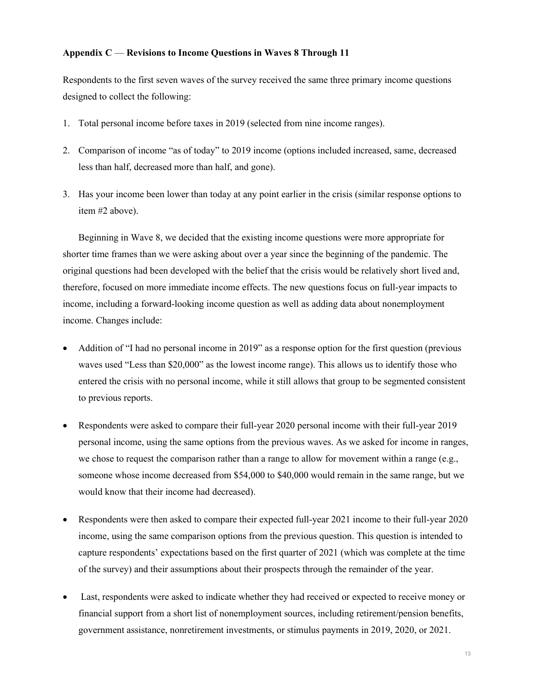## **Appendix C** — **Revisions to Income Questions in Waves 8 Through 11**

Respondents to the first seven waves of the survey received the same three primary income questions designed to collect the following:

- 1. Total personal income before taxes in 2019 (selected from nine income ranges).
- 2. Comparison of income "as of today" to 2019 income (options included increased, same, decreased less than half, decreased more than half, and gone).
- 3. Has your income been lower than today at any point earlier in the crisis (similar response options to item #2 above).

Beginning in Wave 8, we decided that the existing income questions were more appropriate for shorter time frames than we were asking about over a year since the beginning of the pandemic. The original questions had been developed with the belief that the crisis would be relatively short lived and, therefore, focused on more immediate income effects. The new questions focus on full-year impacts to income, including a forward-looking income question as well as adding data about nonemployment income. Changes include:

- Addition of "I had no personal income in 2019" as a response option for the first question (previous waves used "Less than \$20,000" as the lowest income range). This allows us to identify those who entered the crisis with no personal income, while it still allows that group to be segmented consistent to previous reports.
- Respondents were asked to compare their full-year 2020 personal income with their full-year 2019 personal income, using the same options from the previous waves. As we asked for income in ranges, we chose to request the comparison rather than a range to allow for movement within a range (e.g., someone whose income decreased from \$54,000 to \$40,000 would remain in the same range, but we would know that their income had decreased).
- Respondents were then asked to compare their expected full-year 2021 income to their full-year 2020 income, using the same comparison options from the previous question. This question is intended to capture respondents' expectations based on the first quarter of 2021 (which was complete at the time of the survey) and their assumptions about their prospects through the remainder of the year.
- Last, respondents were asked to indicate whether they had received or expected to receive money or financial support from a short list of nonemployment sources, including retirement/pension benefits, government assistance, nonretirement investments, or stimulus payments in 2019, 2020, or 2021.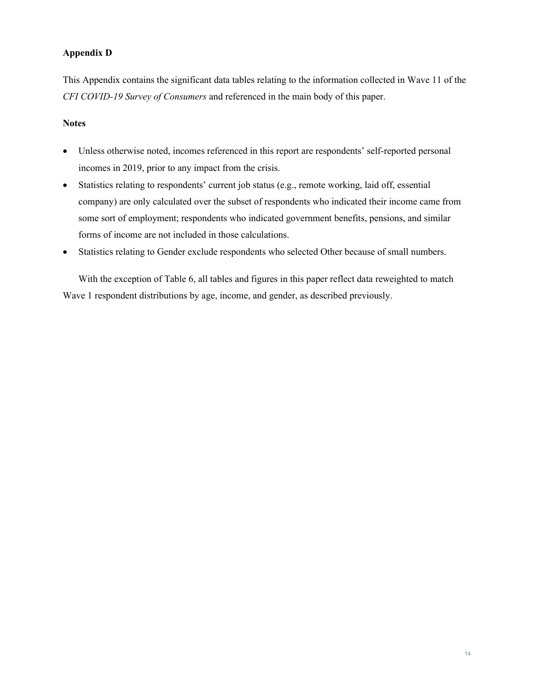# **Appendix D**

This Appendix contains the significant data tables relating to the information collected in Wave 11 of the *CFI COVID-19 Survey of Consumers* and referenced in the main body of this paper.

## **Notes**

- Unless otherwise noted, incomes referenced in this report are respondents' self-reported personal incomes in 2019, prior to any impact from the crisis.
- Statistics relating to respondents' current job status (e.g., remote working, laid off, essential company) are only calculated over the subset of respondents who indicated their income came from some sort of employment; respondents who indicated government benefits, pensions, and similar forms of income are not included in those calculations.
- Statistics relating to Gender exclude respondents who selected Other because of small numbers.

With the exception of Table 6, all tables and figures in this paper reflect data reweighted to match Wave 1 respondent distributions by age, income, and gender, as described previously.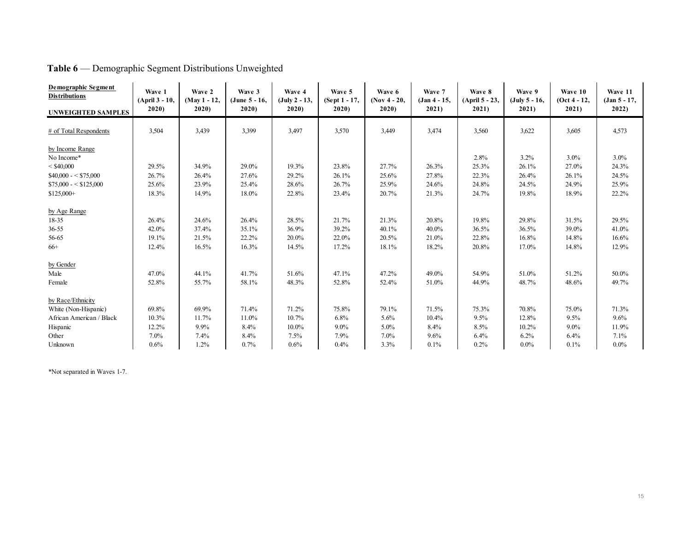| <b>Demographic Segment</b><br><b>Distributions</b> | Wave 1<br>(April 3 - 10, | Wave 2<br>(May 1 - 12, | Wave 3<br>(June 5 - 16, | Wave 4<br>$(July 2 - 13,$ | Wave 5<br>(Sept 1 - 17, | Wave 6<br>$($ Nov 4 - 20, | Wave 7<br>$(Jan 4 - 15,$ | Wave 8<br>(April 5 - 23, | Wave 9<br>$(July 5 - 16,$ | Wave 10<br>$(Oct 4 - 12,$ | Wave 11<br>$(Jan 5 - 17,$ |
|----------------------------------------------------|--------------------------|------------------------|-------------------------|---------------------------|-------------------------|---------------------------|--------------------------|--------------------------|---------------------------|---------------------------|---------------------------|
| <b>UNWEIGHTED SAMPLES</b>                          | 2020                     | 2020                   | 2020                    | 2020                      | 2020                    | 2020                      | 2021)                    | 2021)                    | 2021)                     | 2021)                     | 2022)                     |
| # of Total Respondents                             | 3,504                    | 3,439                  | 3,399                   | 3,497                     | 3,570                   | 3,449                     | 3,474                    | 3,560                    | 3,622                     | 3,605                     | 4,573                     |
| by Income Range                                    |                          |                        |                         |                           |                         |                           |                          |                          |                           |                           |                           |
| No Income*                                         |                          |                        |                         |                           |                         |                           |                          | 2.8%                     | $3.2\%$                   | $3.0\%$                   | 3.0%                      |
| $<$ \$40,000                                       | 29.5%                    | 34.9%                  | 29.0%                   | 19.3%                     | 23.8%                   | 27.7%                     | 26.3%                    | 25.3%                    | 26.1%                     | 27.0%                     | 24.3%                     |
| $$40,000 - $75,000$                                | 26.7%                    | 26.4%                  | 27.6%                   | 29.2%                     | 26.1%                   | 25.6%                     | 27.8%                    | 22.3%                    | 26.4%                     | 26.1%                     | 24.5%                     |
| $$75,000 - $125,000$                               | 25.6%                    | 23.9%                  | 25.4%                   | 28.6%                     | 26.7%                   | 25.9%                     | 24.6%                    | 24.8%                    | 24.5%                     | 24.9%                     | 25.9%                     |
| $$125,000+$                                        | 18.3%                    | 14.9%                  | 18.0%                   | 22.8%                     | 23.4%                   | 20.7%                     | 21.3%                    | 24.7%                    | 19.8%                     | 18.9%                     | 22.2%                     |
| by Age Range                                       |                          |                        |                         |                           |                         |                           |                          |                          |                           |                           |                           |
| 18-35                                              | 26.4%                    | 24.6%                  | 26.4%                   | 28.5%                     | 21.7%                   | 21.3%                     | 20.8%                    | 19.8%                    | 29.8%                     | 31.5%                     | 29.5%                     |
| $36 - 55$                                          | 42.0%                    | 37.4%                  | 35.1%                   | 36.9%                     | 39.2%                   | 40.1%                     | 40.0%                    | 36.5%                    | 36.5%                     | 39.0%                     | 41.0%                     |
| 56-65                                              | 19.1%                    | 21.5%                  | 22.2%                   | 20.0%                     | 22.0%                   | 20.5%                     | 21.0%                    | 22.8%                    | 16.8%                     | 14.8%                     | 16.6%                     |
| $66+$                                              | 12.4%                    | 16.5%                  | 16.3%                   | 14.5%                     | 17.2%                   | 18.1%                     | 18.2%                    | 20.8%                    | 17.0%                     | 14.8%                     | 12.9%                     |
| by Gender                                          |                          |                        |                         |                           |                         |                           |                          |                          |                           |                           |                           |
| Male                                               | 47.0%                    | 44.1%                  | 41.7%                   | 51.6%                     | 47.1%                   | 47.2%                     | 49.0%                    | 54.9%                    | 51.0%                     | 51.2%                     | 50.0%                     |
| Female                                             | 52.8%                    | 55.7%                  | 58.1%                   | 48.3%                     | 52.8%                   | 52.4%                     | 51.0%                    | 44.9%                    | 48.7%                     | 48.6%                     | 49.7%                     |
| by Race/Ethnicity                                  |                          |                        |                         |                           |                         |                           |                          |                          |                           |                           |                           |
| White (Non-Hispanic)                               | 69.8%                    | 69.9%                  | 71.4%                   | 71.2%                     | 75.8%                   | 79.1%                     | 71.5%                    | 75.3%                    | 70.8%                     | 75.0%                     | 71.3%                     |
| African American / Black                           | 10.3%                    | 11.7%                  | 11.0%                   | 10.7%                     | 6.8%                    | 5.6%                      | 10.4%                    | 9.5%                     | 12.8%                     | 9.5%                      | 9.6%                      |
| Hispanic                                           | 12.2%                    | 9.9%                   | 8.4%                    | 10.0%                     | $9.0\%$                 | $5.0\%$                   | 8.4%                     | 8.5%                     | 10.2%                     | $9.0\%$                   | 11.9%                     |
| Other                                              | $7.0\%$                  | 7.4%                   | 8.4%                    | 7.5%                      | 7.9%                    | 7.0%                      | 9.6%                     | 6.4%                     | 6.2%                      | 6.4%                      | 7.1%                      |
| Unknown                                            | 0.6%                     | 1.2%                   | 0.7%                    | 0.6%                      | 0.4%                    | 3.3%                      | 0.1%                     | 0.2%                     | $0.0\%$                   | 0.1%                      | $0.0\%$                   |

# **Table 6** — Demographic Segment Distributions Unweighted

\*Not separated in Waves 1-7.